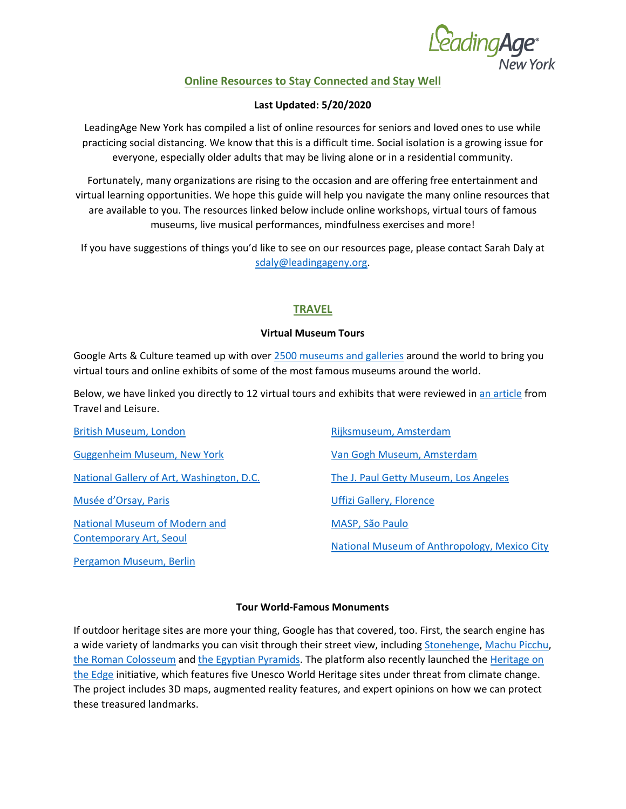*CadingAge*<br>New York

# **Online Resources to Stay Connected and Stay Well**

## **Last Updated: 5/20/2020**

LeadingAge New York has compiled a list of online resources for seniors and loved ones to use while practicing social distancing. We know that this is a difficult time. Social isolation is a growing issue for everyone, especially older adults that may be living alone or in a residential community.

Fortunately, many organizations are rising to the occasion and are offering free entertainment and virtual learning opportunities. We hope this guide will help you navigate the many online resources that are available to you. The resources linked below include online workshops, virtual tours of famous museums, live musical performances, mindfulness exercises and more!

If you have suggestions of things you'd like to see on our resources page, please contact Sarah Daly at [sdaly@leadingageny.org.](mailto:sdaly@leadingageny.org)

# **TRAVEL**

## **Virtual Museum Tours**

Google Arts & Culture teamed up with over [2500 museums and galleries](https://artsandculture.google.com/partner?hl=en) around the world to bring you virtual tours and online exhibits of some of the most famous museums around the world.

Below, we have linked you directly to 12 virtual tours and exhibits that were reviewed in [an article](https://www.travelandleisure.com/attractions/museums-galleries/museums-with-virtual-tours) from Travel and Leisure.

| <b>British Museum, London</b>             | Rijksmuseum, Amsterdam                       |
|-------------------------------------------|----------------------------------------------|
| <b>Guggenheim Museum, New York</b>        | Van Gogh Museum, Amsterdam                   |
| National Gallery of Art, Washington, D.C. | The J. Paul Getty Museum, Los Angeles        |
| Musée d'Orsay, Paris                      | <b>Uffizi Gallery, Florence</b>              |
| <b>National Museum of Modern and</b>      | MASP, São Paulo                              |
| Contemporary Art, Seoul                   | National Museum of Anthropology, Mexico City |
| Pergamon Museum, Berlin                   |                                              |

#### **Tour World-Famous Monuments**

If outdoor heritage sites are more your thing, Google has that covered, too. First, the search engine has a wide variety of landmarks you can visit through their street view, including [Stonehenge,](https://artsandculture.google.com/streetview/stonehenge-avebury/TwED7nyNxm_hxg?hl=en&sv_lng=-1.826051449423318&sv_lat=51.17896575151737&sv_h=286.0237755354809&sv_p=6.686740378771518&sv_pid=PyKwwSmjpNQ__1bFx6SHjg&sv_z=1) [Machu Picchu,](https://artsandculture.google.com/streetview/santuario-historico-de-machu-picchu-casa-de-los-nobles/aQFExMrHgP-cnQ?hl=en) [the Roman Colosseum](https://artsandculture.google.com/streetview/colosseum-outdoor-rome/KgEJeSGoJrgR3w?hl=en&sv_lng=12.49103689966216&sv_lat=41.8913060516094&sv_h=123&sv_p=-1&sv_pid=d3qeSOvCDH06PBzZjwIZaA&sv_z=1) and [the Egyptian Pyramids.](https://artsandculture.google.com/streetview/9QEh91uq-NJ9BA?sv_lng=31.13235381172606&sv_lat=29.97765960320216&sv_h=44.979983578296135&sv_p=8.282121353685383&sv_pid=qj2xHCa4NcdouC49CpiekA&sv_z=1&hl=en) The platform also recently launched the Heritage on [the Edge](https://artsandculture.google.com/project/heritage-on-the-edge) initiative, which features five Unesco World Heritage sites under threat from climate change. The project includes 3D maps, augmented reality features, and expert opinions on how we can protect these treasured landmarks.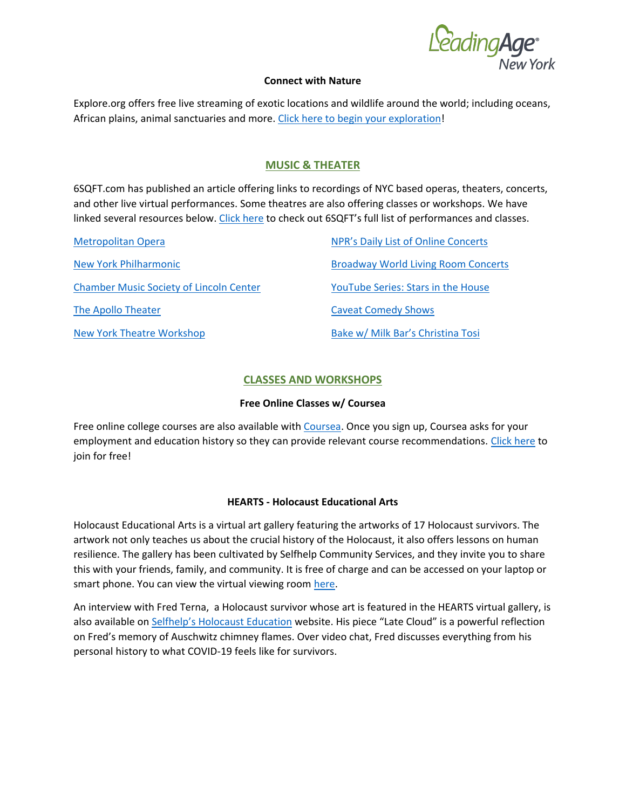e<sup>n</sup>ading **Age**<br>New York

#### **Connect with Nature**

Explore.org offers free live streaming of exotic locations and wildlife around the world; including oceans, African plains, animal sanctuaries and more. [Click here to begin your exploration!](https://explore.org/livecams/african-wildlife/tembe-elephant-park)

# **MUSIC & THEATER**

6SQFT.com has published an article offering links to recordings of NYC based operas, theaters, concerts, and other live virtual performances. Some theatres are also offering classes or workshops. We have linked several resources below. [Click here](https://www.6sqft.com/all-of-the-performances-exhibits-and-events-from-nyc-cultural-institutions-you-can-stream-online/) to check out 6SQFT's full list of performances and classes.

| <b>Metropolitan Opera</b>                      | NPR's Daily List of Online Concerts        |
|------------------------------------------------|--------------------------------------------|
| New York Philharmonic                          | <b>Broadway World Living Room Concerts</b> |
| <b>Chamber Music Society of Lincoln Center</b> | <b>YouTube Series: Stars in the House</b>  |
| The Apollo Theater                             | <b>Caveat Comedy Shows</b>                 |
| <b>New York Theatre Workshop</b>               | Bake w/ Milk Bar's Christina Tosi          |

## **CLASSES AND WORKSHOPS**

## **Free Online Classes w/ Coursea**

Free online college courses are also available with [Coursea.](https://www.coursera.org/) Once you sign up, Coursea asks for your employment and education history so they can provide relevant course recommendations. [Click here](https://www.coursera.org/) to join for free!

#### **HEARTS - Holocaust Educational Arts**

Holocaust Educational Arts is a virtual art gallery featuring the artworks of 17 Holocaust survivors. The artwork not only teaches us about the crucial history of the Holocaust, it also offers lessons on human resilience. The gallery has been cultivated by Selfhelp Community Services, and they invite you to share this with your friends, family, and community. It is free of charge and can be accessed on your laptop or smart phone. You can view the virtual viewing room [here.](https://publish.exhibbit.com/gallery/152524257/marble-gallery-11655/)

An interview with Fred Terna, a Holocaust survivor whose art is featured in the HEARTS virtual gallery, is also available on [Selfhelp's Holocau](https://www.selfhelp.net/holocausteducation/)st Education website. His piece "Late Cloud" is a powerful reflection on Fred's memory of Auschwitz chimney flames. Over video chat, Fred discusses everything from his personal history to what COVID-19 feels like for survivors.